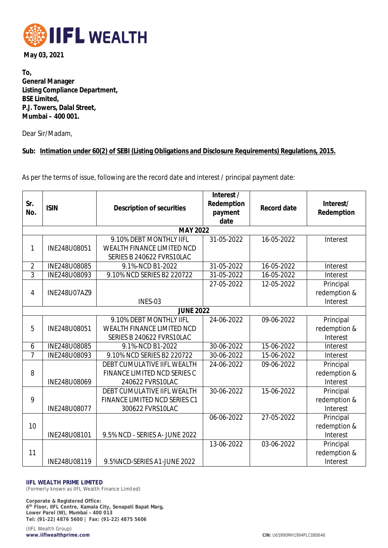

**May 03, 2021**

**To, General Manager Listing Compliance Department, BSE Limited, P.J. Towers, Dalal Street, Mumbai – 400 001.**

Dear Sir/Madam,

## **Sub: Intimation under 60(2) of SEBI (Listing Obligations and Disclosure Requirements) Regulations, 2015.**

As per the terms of issue, following are the record date and interest / principal payment date:

| Sr.<br>No.       | <b>ISIN</b>  | <b>Description of securities</b>                        | Interest /<br>Redemption<br>payment | <b>Record date</b> | Interest/<br>Redemption |
|------------------|--------------|---------------------------------------------------------|-------------------------------------|--------------------|-------------------------|
|                  |              |                                                         | date                                |                    |                         |
| <b>MAY 2022</b>  |              |                                                         |                                     |                    |                         |
|                  |              | 9.10% DEBT MONTHLY IIFL                                 | 31-05-2022                          | 16-05-2022         | Interest                |
| 1                | INE248U08051 | WEALTH FINANCE LIMITED NCD<br>SERIES B 240622 FVRS10LAC |                                     |                    |                         |
| $\overline{2}$   | INE248U08085 | 9.1%-NCD B1-2022                                        | 31-05-2022                          | 16-05-2022         | Interest                |
| $\overline{3}$   |              | 9.10% NCD SERIES B2 220722                              | 31-05-2022                          |                    |                         |
|                  | INE248U08093 |                                                         |                                     | 16-05-2022         | Interest                |
|                  |              |                                                         | 27-05-2022                          | 12-05-2022         | Principal               |
| 4                | INE248U07AZ9 |                                                         |                                     |                    | redemption &            |
|                  |              | INES-03                                                 |                                     |                    | Interest                |
| <b>JUNE 2022</b> |              |                                                         |                                     |                    |                         |
| 5                |              | 9.10% DEBT MONTHLY IIFL                                 | 24-06-2022                          | 09-06-2022         | Principal               |
|                  | INE248U08051 | WEALTH FINANCE LIMITED NCD                              |                                     |                    | redemption &            |
|                  |              | SERIES B 240622 FVRS10LAC                               |                                     |                    | Interest                |
| 6                | INE248U08085 | 9.1%-NCD B1-2022                                        | 30-06-2022                          | 15-06-2022         | Interest                |
| $\overline{7}$   | INE248U08093 | 9.10% NCD SERIES B2 220722                              | 30-06-2022                          | 15-06-2022         | Interest                |
|                  |              | DEBT CUMULATIVE IIFL WEALTH                             | 24-06-2022                          | 09-06-2022         | Principal               |
| 8                |              | FINANCE LIMITED NCD SERIES C                            |                                     |                    | redemption &            |
|                  | INE248U08069 | 240622 FVRS10LAC                                        |                                     |                    | Interest                |
| 9                |              | DEBT CUMULATIVE IIFL WEALTH                             | 30-06-2022                          | 15-06-2022         | Principal               |
|                  |              | FINANCE LIMITED NCD SERIES C1                           |                                     |                    | redemption &            |
|                  | INE248U08077 | 300622 FVRS10LAC                                        |                                     |                    | Interest                |
| 10               |              |                                                         | 06-06-2022                          | 27-05-2022         | Principal               |
|                  |              |                                                         |                                     |                    | redemption &            |
|                  | INE248U08101 | 9.5% NCD - SERIES A- JUNE 2022                          |                                     |                    | Interest                |
| 11               |              |                                                         | 13-06-2022                          | 03-06-2022         | Principal               |
|                  |              |                                                         |                                     |                    | redemption &            |
|                  | INE248U08119 | 9.5%NCD-SERIES A1-JUNE 2022                             |                                     |                    | Interest                |

## **IIFL WEALTH PRIME LIMITED**

(Formerly known as IIFL Wealth Finance Limited)

**Corporate & Registered Office: 6 th Floor, IIFL Centre, Kamala City, Senapati Bapat Marg, Lower Parel (W), Mumbai – 400 013 Tel: (91-22) 4876 5600 | Fax: (91-22) 4875 5606**